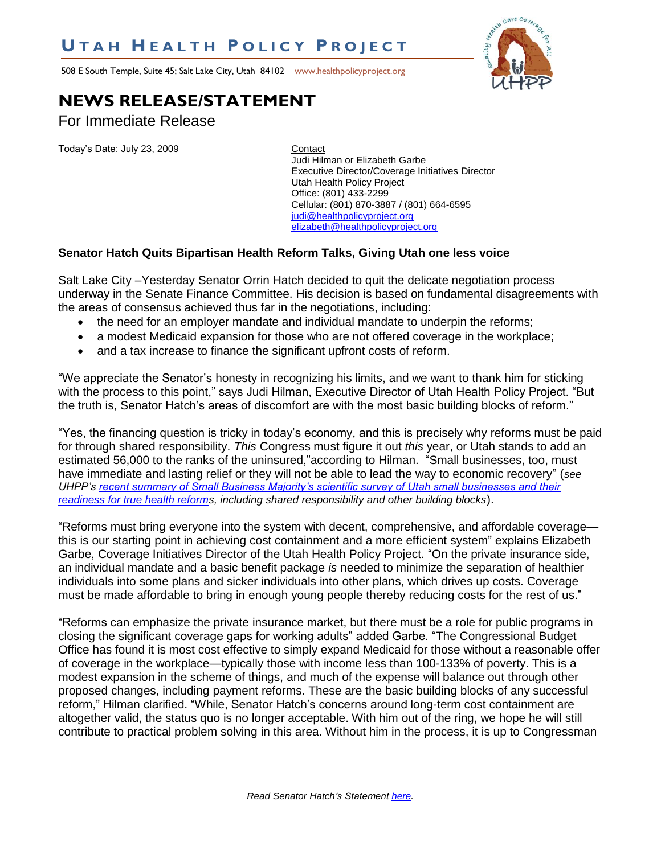## **U T A H H E A L T H P O L I C Y P R O J E C T**

508 E South Temple, Suite 45; Salt Lake City, Utah 84102 www.healthpolicyproject.org



## **NEWS RELEASE/STATEMENT**

For Immediate Release

Today's Date: July 23, 2009 Contact

Judi Hilman or Elizabeth Garbe Executive Director/Coverage Initiatives Director Utah Health Policy Project Office: (801) 433-2299 Cellular: (801) 870-3887 / (801) 664-6595 [judi@healthpolicyproject.org](mailto:judi@healthpolicyproject.org) [elizabeth@healthpolicyproject.org](mailto:elizabeth@healthpolicyproject.org)

## **Senator Hatch Quits Bipartisan Health Reform Talks, Giving Utah one less voice**

Salt Lake City –Yesterday Senator Orrin Hatch decided to quit the delicate negotiation process underway in the Senate Finance Committee. His decision is based on fundamental disagreements with the areas of consensus achieved thus far in the negotiations, including:

- the need for an employer mandate and individual mandate to underpin the reforms;
- a modest Medicaid expansion for those who are not offered coverage in the workplace;
- and a tax increase to finance the significant upfront costs of reform.

"We appreciate the Senator's honesty in recognizing his limits, and we want to thank him for sticking with the process to this point," says Judi Hilman, Executive Director of Utah Health Policy Project. "But the truth is, Senator Hatch's areas of discomfort are with the most basic building blocks of reform."

"Yes, the financing question is tricky in today's economy, and this is precisely why reforms must be paid for through shared responsibility. *This* Congress must figure it out *this* year, or Utah stands to add an estimated 56,000 to the ranks of the uninsured,"according to Hilman. "Small businesses, too, must have immediate and lasting relief or they will not be able to lead the way to economic recovery" (see *UHPP's [recent summary of Small Business Majority's scientific survey of Utah small businesses and their](http://www.healthpolicyproject.org/Publications_files/Business/UHPPSmallBizSurveySummary7-14-09postJK.pdf)  [readiness for true health reforms](http://www.healthpolicyproject.org/Publications_files/Business/UHPPSmallBizSurveySummary7-14-09postJK.pdf), including shared responsibility and other building blocks*).

―Reforms must bring everyone into the system with decent, comprehensive, and affordable coverage this is our starting point in achieving cost containment and a more efficient system" explains Elizabeth Garbe, Coverage Initiatives Director of the Utah Health Policy Project. "On the private insurance side, an individual mandate and a basic benefit package *is* needed to minimize the separation of healthier individuals into some plans and sicker individuals into other plans, which drives up costs. Coverage must be made affordable to bring in enough young people thereby reducing costs for the rest of us."

―Reforms can emphasize the private insurance market, but there must be a role for public programs in closing the significant coverage gaps for working adults" added Garbe. "The Congressional Budget Office has found it is most cost effective to simply expand Medicaid for those without a reasonable offer of coverage in the workplace—typically those with income less than 100-133% of poverty. This is a modest expansion in the scheme of things, and much of the expense will balance out through other proposed changes, including payment reforms. These are the basic building blocks of any successful reform," Hilman clarified. "While, Senator Hatch's concerns around long-term cost containment are altogether valid, the status quo is no longer acceptable. With him out of the ring, we hope he will still contribute to practical problem solving in this area. Without him in the process, it is up to Congressman